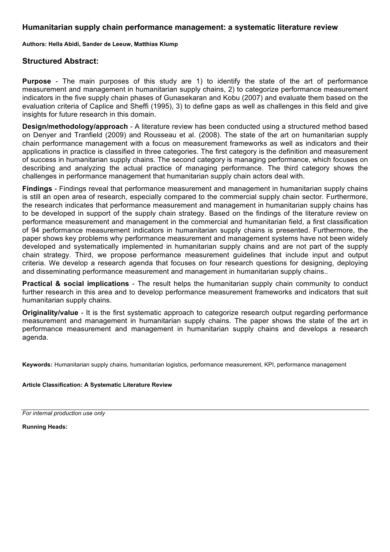### **Humanitarian supply chain performance management: a systematic literature review**

**Authors: Hella Abidi, Sander de Leeuw, Matthias Klump**

### **Structured Abstract:**

**Purpose** - The main purposes of this study are 1) to identify the state of the art of performance measurement and management in humanitarian supply chains, 2) to categorize performance measurement indicators in the five supply chain phases of Gunasekaran and Kobu (2007) and evaluate them based on the evaluation criteria of Caplice and Sheffi (1995), 3) to define gaps as well as challenges in this field and give insights for future research in this domain.

**Design/methodology/approach** - A literature review has been conducted using a structured method based on Denyer and Tranfield (2009) and Rousseau et al. (2008). The state of the art on humanitarian supply chain performance management with a focus on measurement frameworks as well as indicators and their applications in practice is classified in three categories. The first category is the definition and measurement of success in humanitarian supply chains. The second category is managing performance, which focuses on describing and analyzing the actual practice of managing performance. The third category shows the challenges in performance management that humanitarian supply chain actors deal with.

**Findings** - Findings reveal that performance measurement and management in humanitarian supply chains is still an open area of research, especially compared to the commercial supply chain sector. Furthermore, the research indicates that performance measurement and management in humanitarian supply chains has to be developed in support of the supply chain strategy. Based on the findings of the literature review on performance measurement and management in the commercial and humanitarian field, a first classification of 94 performance measurement indicators in humanitarian supply chains is presented. Furthermore, the paper shows key problems why performance measurement and management systems have not been widely developed and systematically implemented in humanitarian supply chains and are not part of the supply chain strategy. Third, we propose performance measurement guidelines that include input and output criteria. We develop a research agenda that focuses on four research questions for designing, deploying and disseminating performance measurement and management in humanitarian supply chains..

**Practical & social implications** - The result helps the humanitarian supply chain community to conduct further research in this area and to develop performance measurement frameworks and indicators that suit humanitarian supply chains.

**Originality/value** - It is the first systematic approach to categorize research output regarding performance measurement and management in humanitarian supply chains. The paper shows the state of the art in performance measurement and management in humanitarian supply chains and develops a research agenda.

**Keywords:** Humanitarian supply chains, humanitarian logistics, performance measurement, KPI, performance management

#### **Article Classification: A Systematic Literature Review**

*For internal production use only*

**Running Heads:**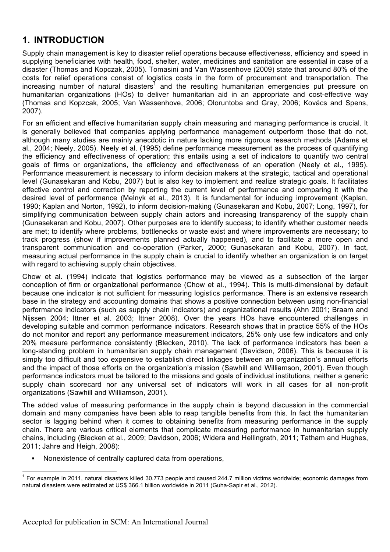# **1. INTRODUCTION**

Supply chain management is key to disaster relief operations because effectiveness, efficiency and speed in supplying beneficiaries with health, food, shelter, water, medicines and sanitation are essential in case of a disaster (Thomas and Kopczak, 2005). Tomasini and Van Wassenhove (2009) state that around 80% of the costs for relief operations consist of logistics costs in the form of procurement and transportation. The increasing number of natural disasters<sup>1</sup> and the resulting humanitarian emergencies put pressure on humanitarian organizations (HOs) to deliver humanitarian aid in an appropriate and cost-effective way (Thomas and Kopzcak, 2005; Van Wassenhove, 2006; Oloruntoba and Gray, 2006; Kovács and Spens, 2007).

For an efficient and effective humanitarian supply chain measuring and managing performance is crucial. It is generally believed that companies applying performance management outperform those that do not, although many studies are mainly anecdotic in nature lacking more rigorous research methods (Adams et al., 2004; Neely, 2005). Neely et al. (1995) define performance measurement as the process of quantifying the efficiency and effectiveness of operation; this entails using a set of indicators to quantify two central goals of firms or organizations, the efficiency and effectiveness of an operation (Neely et al., 1995). Performance measurement is necessary to inform decision makers at the strategic, tactical and operational level (Gunasekaran and Kobu, 2007) but is also key to implement and realize strategic goals. It facilitates effective control and correction by reporting the current level of performance and comparing it with the desired level of performance (Melnyk et al., 2013). It is fundamental for inducing improvement (Kaplan, 1990; Kaplan and Norton, 1992), to inform decision-making (Gunasekaran and Kobu, 2007; Long, 1997), for simplifying communication between supply chain actors and increasing transparency of the supply chain (Gunasekaran and Kobu, 2007). Other purposes are to identify success; to identify whether customer needs are met; to identify where problems, bottlenecks or waste exist and where improvements are necessary; to track progress (show if improvements planned actually happened), and to facilitate a more open and transparent communication and co-operation (Parker, 2000; Gunasekaran and Kobu, 2007). In fact, measuring actual performance in the supply chain is crucial to identify whether an organization is on target with regard to achieving supply chain objectives.

Chow et al. (1994) indicate that logistics performance may be viewed as a subsection of the larger conception of firm or organizational performance (Chow et al., 1994). This is multi-dimensional by default because one indicator is not sufficient for measuring logistics performance. There is an extensive research base in the strategy and accounting domains that shows a positive connection between using non-financial performance indicators (such as supply chain indicators) and organizational results (Ahn 2001; Braam and Nijssen 2004; Ittner et al. 2003; Ittner 2008). Over the years HOs have encountered challenges in developing suitable and common performance indicators. Research shows that in practice 55% of the HOs do not monitor and report any performance measurement indicators, 25% only use few indicators and only 20% measure performance consistently (Blecken, 2010). The lack of performance indicators has been a long-standing problem in humanitarian supply chain management (Davidson, 2006). This is because it is simply too difficult and too expensive to establish direct linkages between an organization's annual efforts and the impact of those efforts on the organization's mission (Sawhill and Williamson, 2001). Even though performance indicators must be tailored to the missions and goals of individual institutions, neither a generic supply chain scorecard nor any universal set of indicators will work in all cases for all non-profit organizations (Sawhill and Williamson, 2001).

The added value of measuring performance in the supply chain is beyond discussion in the commercial domain and many companies have been able to reap tangible benefits from this. In fact the humanitarian sector is lagging behind when it comes to obtaining benefits from measuring performance in the supply chain. There are various critical elements that complicate measuring performance in humanitarian supply chains, including (Blecken et al., 2009; Davidson, 2006; Widera and Hellingrath, 2011; Tatham and Hughes, 2011; Jahre and Heigh, 2008):

Nonexistence of centrally captured data from operations,

 $1$  For example in 2011, natural disasters killed 30.773 people and caused 244.7 million victims worldwide; economic damages from natural disasters were estimated at US\$ 366.1 billion worldwide in 2011 (Guha-Sapir et al., 2012).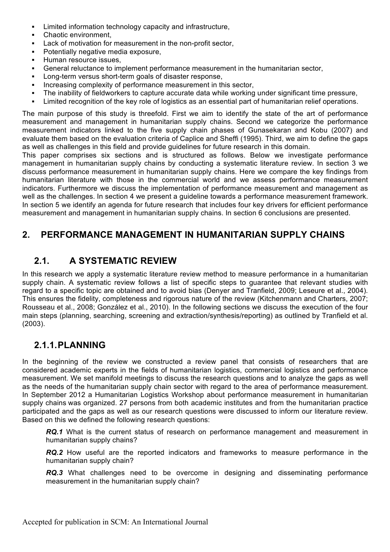- Limited information technology capacity and infrastructure,
- Chaotic environment.
- Lack of motivation for measurement in the non-profit sector,
- § Potentially negative media exposure,
- § Human resource issues,
- § General reluctance to implement performance measurement in the humanitarian sector,
- § Long-term versus short-term goals of disaster response,
- Increasing complexity of performance measurement in this sector,
- The inability of fieldworkers to capture accurate data while working under significant time pressure,
- Limited recognition of the key role of logistics as an essential part of humanitarian relief operations.

The main purpose of this study is threefold. First we aim to identify the state of the art of performance measurement and management in humanitarian supply chains. Second we categorize the performance measurement indicators linked to the five supply chain phases of Gunasekaran and Kobu (2007) and evaluate them based on the evaluation criteria of Caplice and Sheffi (1995). Third, we aim to define the gaps as well as challenges in this field and provide guidelines for future research in this domain.

This paper comprises six sections and is structured as follows. Below we investigate performance management in humanitarian supply chains by conducting a systematic literature review. In section 3 we discuss performance measurement in humanitarian supply chains. Here we compare the key findings from humanitarian literature with those in the commercial world and we assess performance measurement indicators. Furthermore we discuss the implementation of performance measurement and management as well as the challenges. In section 4 we present a guideline towards a performance measurement framework. In section 5 we identify an agenda for future research that includes four key drivers for efficient performance measurement and management in humanitarian supply chains. In section 6 conclusions are presented.

## **2. PERFORMANCE MANAGEMENT IN HUMANITARIAN SUPPLY CHAINS**

## **2.1. A SYSTEMATIC REVIEW**

In this research we apply a systematic literature review method to measure performance in a humanitarian supply chain. A systematic review follows a list of specific steps to guarantee that relevant studies with regard to a specific topic are obtained and to avoid bias (Denyer and Tranfield, 2009; Leseure et al., 2004). This ensures the fidelity, completeness and rigorous nature of the review (Kitchenmann and Charters, 2007; Rousseau et al., 2008; González et al., 2010). In the following sections we discuss the execution of the four main steps (planning, searching, screening and extraction/synthesis/reporting) as outlined by Tranfield et al. (2003).

## **2.1.1.PLANNING**

In the beginning of the review we constructed a review panel that consists of researchers that are considered academic experts in the fields of humanitarian logistics, commercial logistics and performance measurement. We set manifold meetings to discuss the research questions and to analyze the gaps as well as the needs of the humanitarian supply chain sector with regard to the area of performance measurement. In September 2012 a Humanitarian Logistics Workshop about performance measurement in humanitarian supply chains was organized. 27 persons from both academic institutes and from the humanitarian practice participated and the gaps as well as our research questions were discussed to inform our literature review. Based on this we defined the following research questions:

*RQ.1* What is the current status of research on performance management and measurement in humanitarian supply chains?

*RQ.2* How useful are the reported indicators and frameworks to measure performance in the humanitarian supply chain?

*RQ.3* What challenges need to be overcome in designing and disseminating performance measurement in the humanitarian supply chain?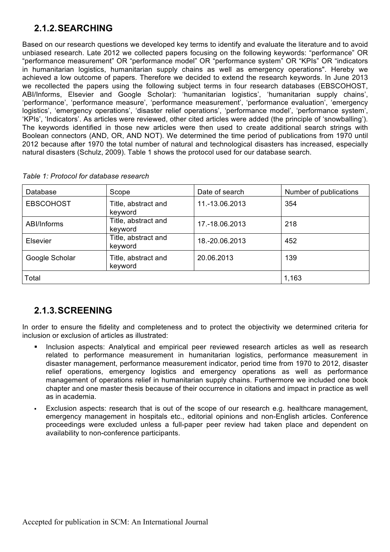# **2.1.2.SEARCHING**

Based on our research questions we developed key terms to identify and evaluate the literature and to avoid unbiased research. Late 2012 we collected papers focusing on the following keywords: "performance" OR "performance measurement" OR "performance model" OR "performance system" OR "KPIs" OR "indicators in humanitarian logistics, humanitarian supply chains as well as emergency operations". Hereby we achieved a low outcome of papers. Therefore we decided to extend the research keywords. In June 2013 we recollected the papers using the following subject terms in four research databases (EBSCOHOST, ABI/Informs, Elsevier and Google Scholar): 'humanitarian logistics', 'humanitarian supply chains', 'performance', 'performance measure', 'performance measurement', 'performance evaluation', 'emergency logistics', 'emergency operations', 'disaster relief operations', 'performance model', 'performance system', 'KPIs', 'Indicators'. As articles were reviewed, other cited articles were added (the principle of 'snowballing'). The keywords identified in those new articles were then used to create additional search strings with Boolean connectors (AND, OR, AND NOT). We determined the time period of publications from 1970 until 2012 because after 1970 the total number of natural and technological disasters has increased, especially natural disasters (Schulz, 2009). Table 1 shows the protocol used for our database search.

| Database         | Scope                          | Date of search | Number of publications |
|------------------|--------------------------------|----------------|------------------------|
| <b>EBSCOHOST</b> | Title, abstract and<br>keyword | 11.-13.06.2013 | 354                    |
| ABI/Informs      | Title, abstract and<br>keyword | 17.-18.06.2013 | 218                    |
| <b>Elsevier</b>  | Title, abstract and<br>keyword | 18.-20.06.2013 | 452                    |
| Google Scholar   | Title, abstract and<br>keyword | 20.06.2013     | 139                    |
| Total            |                                |                | 1,163                  |

# **2.1.3.SCREENING**

In order to ensure the fidelity and completeness and to protect the objectivity we determined criteria for inclusion or exclusion of articles as illustrated:

- Inclusion aspects: Analytical and empirical peer reviewed research articles as well as research related to performance measurement in humanitarian logistics, performance measurement in disaster management, performance measurement indicator, period time from 1970 to 2012, disaster relief operations, emergency logistics and emergency operations as well as performance management of operations relief in humanitarian supply chains. Furthermore we included one book chapter and one master thesis because of their occurrence in citations and impact in practice as well as in academia.
- Exclusion aspects: research that is out of the scope of our research e.g. healthcare management, emergency management in hospitals etc., editorial opinions and non-English articles. Conference proceedings were excluded unless a full-paper peer review had taken place and dependent on availability to non-conference participants.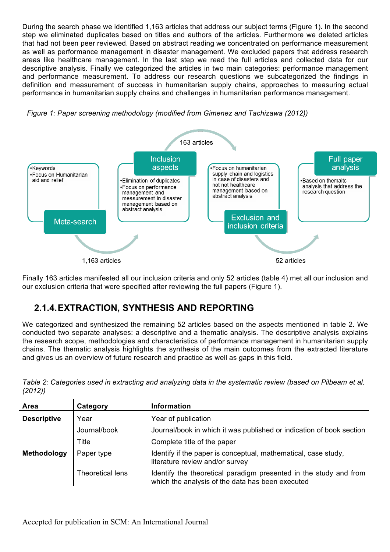During the search phase we identified 1,163 articles that address our subject terms (Figure 1). In the second step we eliminated duplicates based on titles and authors of the articles. Furthermore we deleted articles that had not been peer reviewed. Based on abstract reading we concentrated on performance measurement as well as performance management in disaster management. We excluded papers that address research areas like healthcare management. In the last step we read the full articles and collected data for our descriptive analysis. Finally we categorized the articles in two main categories: performance management and performance measurement. To address our research questions we subcategorized the findings in definition and measurement of success in humanitarian supply chains, approaches to measuring actual performance in humanitarian supply chains and challenges in humanitarian performance management.



*Figure 1: Paper screening methodology (modified from Gimenez and Tachizawa (2012))*

Finally 163 articles manifested all our inclusion criteria and only 52 articles (table 4) met all our inclusion and our exclusion criteria that were specified after reviewing the full papers (Figure 1).

## **2.1.4.EXTRACTION, SYNTHESIS AND REPORTING**

We categorized and synthesized the remaining 52 articles based on the aspects mentioned in table 2. We conducted two separate analyses: a descriptive and a thematic analysis. The descriptive analysis explains the research scope, methodologies and characteristics of performance management in humanitarian supply chains. The thematic analysis highlights the synthesis of the main outcomes from the extracted literature and gives us an overview of future research and practice as well as gaps in this field.

*Table 2: Categories used in extracting and analyzing data in the systematic review (based on Pilbeam et al. (2012))*

| Area               | Category         | <b>Information</b>                                                                                                    |
|--------------------|------------------|-----------------------------------------------------------------------------------------------------------------------|
| <b>Descriptive</b> | Year             | Year of publication                                                                                                   |
|                    | Journal/book     | Journal/book in which it was published or indication of book section                                                  |
|                    | <b>Title</b>     | Complete title of the paper                                                                                           |
| Methodology        | Paper type       | Identify if the paper is conceptual, mathematical, case study,<br>literature review and/or survey                     |
|                    | Theoretical lens | Identify the theoretical paradigm presented in the study and from<br>which the analysis of the data has been executed |

Accepted for publication in SCM: An International Journal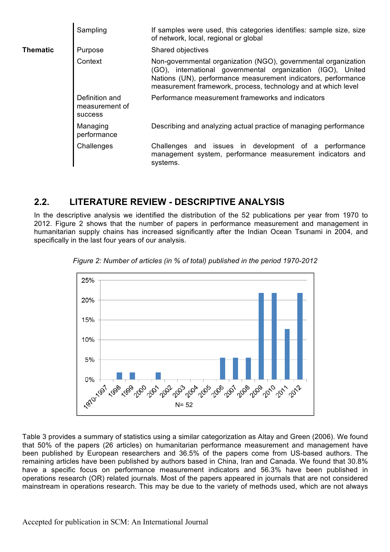|                 | Sampling                                           | If samples were used, this categories identifies: sample size, size<br>of network, local, regional or global                                                                                                                                                    |  |  |
|-----------------|----------------------------------------------------|-----------------------------------------------------------------------------------------------------------------------------------------------------------------------------------------------------------------------------------------------------------------|--|--|
| <b>Thematic</b> | Purpose                                            | Shared objectives                                                                                                                                                                                                                                               |  |  |
|                 | Context                                            | Non-governmental organization (NGO), governmental organization<br>(GO), international governmental organization (IGO), United<br>Nations (UN), performance measurement indicators, performance<br>measurement framework, process, technology and at which level |  |  |
|                 | Definition and<br>measurement of<br><b>SUCCESS</b> | Performance measurement frameworks and indicators                                                                                                                                                                                                               |  |  |
|                 | Managing<br>performance                            | Describing and analyzing actual practice of managing performance                                                                                                                                                                                                |  |  |
|                 | Challenges                                         | Challenges and issues in development of a performance<br>management system, performance measurement indicators and<br>systems.                                                                                                                                  |  |  |

## **2.2. LITERATURE REVIEW - DESCRIPTIVE ANALYSIS**

In the descriptive analysis we identified the distribution of the 52 publications per year from 1970 to 2012. Figure 2 shows that the number of papers in performance measurement and management in humanitarian supply chains has increased significantly after the Indian Ocean Tsunami in 2004, and specifically in the last four years of our analysis.



*Figure 2: Number of articles (in % of total) published in the period 1970-2012*

Table 3 provides a summary of statistics using a similar categorization as Altay and Green (2006). We found that 50% of the papers (26 articles) on humanitarian performance measurement and management have been published by European researchers and 36.5% of the papers come from US-based authors. The remaining articles have been published by authors based in China, Iran and Canada. We found that 30.8% have a specific focus on performance measurement indicators and 56.3% have been published in operations research (OR) related journals. Most of the papers appeared in journals that are not considered mainstream in operations research. This may be due to the variety of methods used, which are not always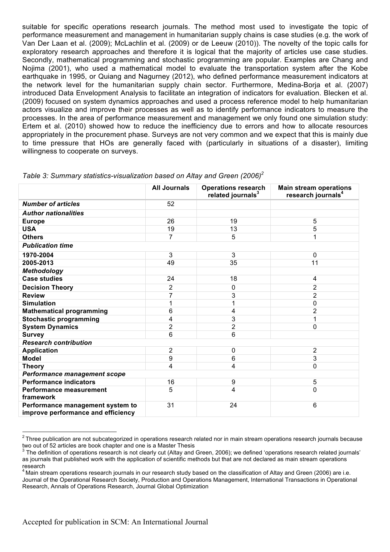suitable for specific operations research journals. The method most used to investigate the topic of performance measurement and management in humanitarian supply chains is case studies (e.g. the work of Van Der Laan et al. (2009); McLachlin et al. (2009) or de Leeuw (2010)). The novelty of the topic calls for exploratory research approaches and therefore it is logical that the majority of articles use case studies. Secondly, mathematical programming and stochastic programming are popular. Examples are Chang and Nojima (2001), who used a mathematical model to evaluate the transportation system after the Kobe earthquake in 1995, or Quiang and Nagurney (2012), who defined performance measurement indicators at the network level for the humanitarian supply chain sector. Furthermore, Medina-Borja et al. (2007) introduced Data Envelopment Analysis to facilitate an integration of indicators for evaluation. Blecken et al. (2009) focused on system dynamics approaches and used a process reference model to help humanitarian actors visualize and improve their processes as well as to identify performance indicators to measure the processes. In the area of performance measurement and management we only found one simulation study: Ertem et al. (2010) showed how to reduce the inefficiency due to errors and how to allocate resources appropriately in the procurement phase. Surveys are not very common and we expect that this is mainly due to time pressure that HOs are generally faced with (particularly in situations of a disaster), limiting willingness to cooperate on surveys.

|                                                                        | <b>All Journals</b> | <b>Operations research</b><br>related journals <sup>3</sup> | <b>Main stream operations</b><br>research journals <sup>4</sup> |  |
|------------------------------------------------------------------------|---------------------|-------------------------------------------------------------|-----------------------------------------------------------------|--|
| <b>Number of articles</b>                                              | 52                  |                                                             |                                                                 |  |
| <b>Author nationalities</b>                                            |                     |                                                             |                                                                 |  |
| <b>Europe</b>                                                          | 26                  | 19                                                          | 5                                                               |  |
| <b>USA</b>                                                             | 19                  | 13                                                          | 5                                                               |  |
| <b>Others</b>                                                          | 7                   | 5                                                           |                                                                 |  |
| <b>Publication time</b>                                                |                     |                                                             |                                                                 |  |
| 1970-2004                                                              | 3                   | 3                                                           | 0                                                               |  |
| 2005-2013                                                              | 49                  | 35                                                          | 11                                                              |  |
| <b>Methodology</b>                                                     |                     |                                                             |                                                                 |  |
| <b>Case studies</b>                                                    | 24                  | 18                                                          | 4                                                               |  |
| <b>Decision Theory</b>                                                 | $\overline{2}$      | 0                                                           | 2                                                               |  |
| <b>Review</b>                                                          | 7                   | 3                                                           | $\overline{2}$                                                  |  |
| <b>Simulation</b>                                                      |                     | 1                                                           | 0                                                               |  |
| <b>Mathematical programming</b>                                        | 6                   | 4                                                           | $\overline{2}$                                                  |  |
| <b>Stochastic programming</b>                                          | 4                   | 3                                                           |                                                                 |  |
| <b>System Dynamics</b>                                                 | $\overline{2}$      | 2                                                           | 0                                                               |  |
| <b>Survey</b>                                                          | 6                   | 6                                                           |                                                                 |  |
| <b>Research contribution</b>                                           |                     |                                                             |                                                                 |  |
| <b>Application</b>                                                     | 2                   | 0                                                           | 2                                                               |  |
| <b>Model</b>                                                           | 9                   | 6                                                           | 3                                                               |  |
| <b>Theory</b>                                                          | 4                   | 4                                                           | 0                                                               |  |
| Performance management scope                                           |                     |                                                             |                                                                 |  |
| <b>Performance indicators</b>                                          | 16                  | 9                                                           | 5                                                               |  |
| <b>Performance measurement</b><br>framework                            | 5                   | 4                                                           | 0                                                               |  |
| Performance management system to<br>improve performance and efficiency | 31                  | 24                                                          | 6                                                               |  |

| Table 3: Summary statistics-visualization based on Altay and Green (2006) <sup>2</sup> |  |  |
|----------------------------------------------------------------------------------------|--|--|

 $2$  Three publication are not subcategorized in operations research related nor in main stream operations research journals because two out of 52 articles are book chapter and one is a Master Thesis<br><sup>3</sup> The definition of operations research is not clearly cut (Altay and Green, 2006); we defined 'operations research related journals'

as journals that published work with the application of scientific methods but that are not declared as main stream operations research

<sup>&</sup>lt;sup>4</sup> Main stream operations research journals in our research study based on the classification of Altay and Green (2006) are i.e. Journal of the Operational Research Society, Production and Operations Management, International Transactions in Operational Research, Annals of Operations Research, Journal Global Optimization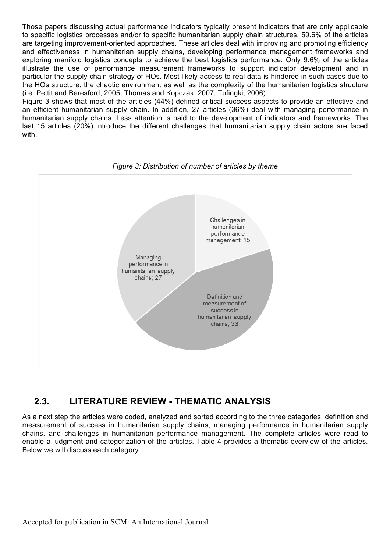Those papers discussing actual performance indicators typically present indicators that are only applicable to specific logistics processes and/or to specific humanitarian supply chain structures. 59.6% of the articles are targeting improvement-oriented approaches. These articles deal with improving and promoting efficiency and effectiveness in humanitarian supply chains, developing performance management frameworks and exploring manifold logistics concepts to achieve the best logistics performance. Only 9.6% of the articles illustrate the use of performance measurement frameworks to support indicator development and in particular the supply chain strategy of HOs. Most likely access to real data is hindered in such cases due to the HOs structure, the chaotic environment as well as the complexity of the humanitarian logistics structure (i.e. Pettit and Beresford, 2005; Thomas and Kopczak, 2007; Tufingki, 2006).

Figure 3 shows that most of the articles (44%) defined critical success aspects to provide an effective and an efficient humanitarian supply chain. In addition, 27 articles (36%) deal with managing performance in humanitarian supply chains. Less attention is paid to the development of indicators and frameworks. The last 15 articles (20%) introduce the different challenges that humanitarian supply chain actors are faced with.





# **2.3. LITERATURE REVIEW - THEMATIC ANALYSIS**

As a next step the articles were coded, analyzed and sorted according to the three categories: definition and measurement of success in humanitarian supply chains, managing performance in humanitarian supply chains, and challenges in humanitarian performance management. The complete articles were read to enable a judgment and categorization of the articles. Table 4 provides a thematic overview of the articles. Below we will discuss each category.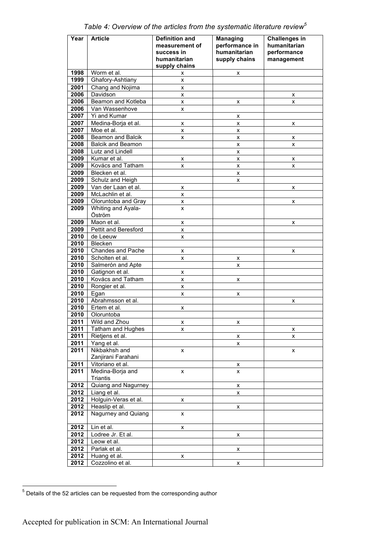| Year         | <b>Article</b>                      | <b>Definition and</b> | <b>Managing</b>    | <b>Challenges in</b> |
|--------------|-------------------------------------|-----------------------|--------------------|----------------------|
|              |                                     | measurement of        | performance in     | humanitarian         |
|              |                                     | success in            | humanitarian       | performance          |
|              |                                     | humanitarian          | supply chains      | management           |
|              |                                     | supply chains         |                    |                      |
| 1998         | Worm et al.                         | x                     | x                  |                      |
| 1999         | Ghafory-Ashtiany                    | x                     |                    |                      |
| 2001         | Chang and Nojima                    | x                     |                    |                      |
| 2006         | Davidson                            | $\pmb{\mathsf{x}}$    |                    | X                    |
| 2006         | Beamon and Kotleba                  | x                     | х                  | х                    |
| 2006         | Van Wassenhove                      | $\pmb{\times}$        |                    |                      |
| 2007         | Yi and Kumar                        |                       | x                  |                      |
| 2007         | Medina-Borja et al.                 | x                     | х                  | х                    |
| 2007         | Moe et al.                          | x                     | X                  |                      |
| 2008         | Beamon and Balcik                   | x                     | x                  | х                    |
| 2008         | <b>Balcik and Beamon</b>            |                       | x                  | x                    |
| 2008         | Lutz and Lindell                    |                       | $\pmb{\times}$     |                      |
| 2009         | Kumar et al.                        | X                     | x                  | х                    |
| 2009         | Kovács and Tatham<br>Blecken et al. | x                     | x                  | x                    |
| 2009         |                                     |                       | x                  |                      |
| 2009         | Schulz and Heigh                    |                       | x                  |                      |
| 2009         | Van der Laan et al.                 | $\pmb{\times}$        |                    | x                    |
| 2009<br>2009 | McLachlin et al.                    | X                     |                    |                      |
| 2009         | Oloruntoba and Gray                 | x                     |                    | x                    |
|              | Whiting and Ayala-<br>Öström        | X                     |                    |                      |
| 2009         | Maon et al.                         |                       |                    |                      |
| 2009         | Pettit and Beresford                | $\pmb{\times}$<br>x   |                    | x                    |
| 2010         | de Leeuw                            | x                     |                    |                      |
| 2010         | Blecken                             |                       |                    |                      |
| 2010         | Chandes and Pache                   | X                     |                    | x                    |
| 2010         | Scholten et al.                     | x                     | X                  |                      |
| 2010         | Salmerón and Apte                   |                       | x                  |                      |
| 2010         | Gatignon et al.                     | x                     |                    |                      |
| 2010         | Kovács and Tatham                   | $\pmb{\mathsf{x}}$    | X                  |                      |
| 2010         | Rongier et al.                      | x                     |                    |                      |
| 2010         | Egan                                | x                     | X                  |                      |
| 2010         | Abrahmsson et al.                   |                       |                    | x                    |
| 2010         | Ertem et al.                        | x                     |                    |                      |
| 2010         | Oloruntoba                          |                       |                    |                      |
| 2011         | Wild and Zhou                       | x                     | x                  |                      |
| 2011         | Tatham and Hughes                   | X                     |                    | X                    |
| 2011         | Rietjens et al.                     |                       | х                  | x                    |
| 2011         | Yang et al.                         |                       | x                  |                      |
| 2011         | Nikbakhsh and                       | x                     |                    | x                    |
|              | Zanjirani Farahani                  |                       |                    |                      |
| 2011         | Vitoriano et al.                    |                       | X                  |                      |
| 2011         | Medina-Borja and                    | x                     | X                  |                      |
|              | <b>Triantis</b>                     |                       |                    |                      |
| 2012         | Quiang and Nagurney                 |                       | х                  |                      |
| 2012         | Liang et al.                        |                       | x                  |                      |
| 2012         | Holguin-Veras et al.                | x                     |                    |                      |
| 2012         | Heaslip et al.                      |                       | $\pmb{\mathsf{x}}$ |                      |
| 2012         | Nagurney and Quiang                 | x                     |                    |                      |
| 2012         | Lin et al.                          | x                     |                    |                      |
| 2012         | Lodree Jr. Et al.                   |                       | X                  |                      |
| 2012         | Leow et al.                         |                       |                    |                      |
| 2012         | Parlak et al.                       |                       | х                  |                      |
| 2012         | Huang et al.                        | x                     |                    |                      |
| 2012         | Cozzolino et al.                    |                       | x                  |                      |

*Table 4: Overview of the articles from the systematic literature review<sup>5</sup>*

 $<sup>5</sup>$  Details of the 52 articles can be requested from the corresponding author</sup>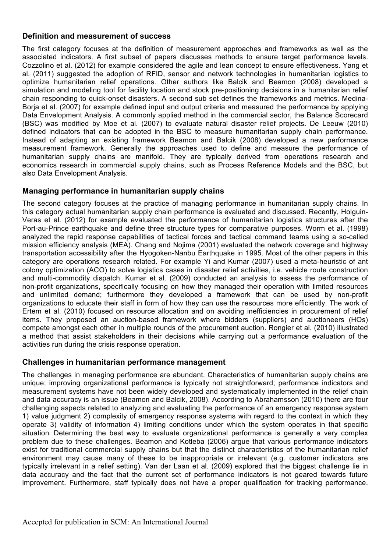### **Definition and measurement of success**

The first category focuses at the definition of measurement approaches and frameworks as well as the associated indicators. A first subset of papers discusses methods to ensure target performance levels. Cozzolino et al. (2012) for example considered the agile and lean concept to ensure effectiveness. Yang et al. (2011) suggested the adoption of RFID, sensor and network technologies in humanitarian logistics to optimize humanitarian relief operations. Other authors like Balcik and Beamon (2008) developed a simulation and modeling tool for facility location and stock pre-positioning decisions in a humanitarian relief chain responding to quick-onset disasters. A second sub set defines the frameworks and metrics. Medina-Boria et al. (2007) for example defined input and output criteria and measured the performance by applying Data Envelopment Analysis. A commonly applied method in the commercial sector, the Balance Scorecard (BSC) was modified by Moe et al. (2007) to evaluate natural disaster relief projects. De Leeuw (2010) defined indicators that can be adopted in the BSC to measure humanitarian supply chain performance. Instead of adapting an existing framework Beamon and Balcik (2008) developed a new performance measurement framework. Generally the approaches used to define and measure the performance of humanitarian supply chains are manifold. They are typically derived from operations research and economics research in commercial supply chains, such as Process Reference Models and the BSC, but also Data Envelopment Analysis.

### **Managing performance in humanitarian supply chains**

The second category focuses at the practice of managing performance in humanitarian supply chains. In this category actual humanitarian supply chain performance is evaluated and discussed. Recently, Holguin-Veras et al. (2012) for example evaluated the performance of humanitarian logistics structures after the Port-au-Prince earthquake and define three structure types for comparative purposes. Worm et al. (1998) analyzed the rapid response capabilities of tactical forces and tactical command teams using a so-called mission efficiency analysis (MEA). Chang and Nojima (2001) evaluated the network coverage and highway transportation accessibility after the Hyogoken-Nanbu Earthquake in 1995. Most of the other papers in this category are operations research related. For example Yi and Kumar (2007) used a meta-heuristic of ant colony optimization (ACO) to solve logistics cases in disaster relief activities, i.e. vehicle route construction and multi-commodity dispatch. Kumar et al. (2009) conducted an analysis to assess the performance of non-profit organizations, specifically focusing on how they managed their operation with limited resources and unlimited demand; furthermore they developed a framework that can be used by non-profit organizations to educate their staff in form of how they can use the resources more efficiently. The work of Ertem et al. (2010) focused on resource allocation and on avoiding inefficiencies in procurement of relief items. They proposed an auction-based framework where bidders (suppliers) and auctioneers (HOs) compete amongst each other in multiple rounds of the procurement auction. Rongier et al. (2010) illustrated a method that assist stakeholders in their decisions while carrying out a performance evaluation of the activities run during the crisis response operation.

### **Challenges in humanitarian performance management**

The challenges in managing performance are abundant. Characteristics of humanitarian supply chains are unique; improving organizational performance is typically not straightforward; performance indicators and measurement systems have not been widely developed and systematically implemented in the relief chain and data accuracy is an issue (Beamon and Balcik, 2008). According to Abrahamsson (2010) there are four challenging aspects related to analyzing and evaluating the performance of an emergency response system 1) value judgment 2) complexity of emergency response systems with regard to the context in which they operate 3) validity of information 4) limiting conditions under which the system operates in that specific situation. Determining the best way to evaluate organizational performance is generally a very complex problem due to these challenges. Beamon and Kotleba (2006) argue that various performance indicators exist for traditional commercial supply chains but that the distinct characteristics of the humanitarian relief environment may cause many of these to be inappropriate or irrelevant (e.g. customer indicators are typically irrelevant in a relief setting). Van der Laan et al. (2009) explored that the biggest challenge lie in data accuracy and the fact that the current set of performance indicators is not geared towards future improvement. Furthermore, staff typically does not have a proper qualification for tracking performance.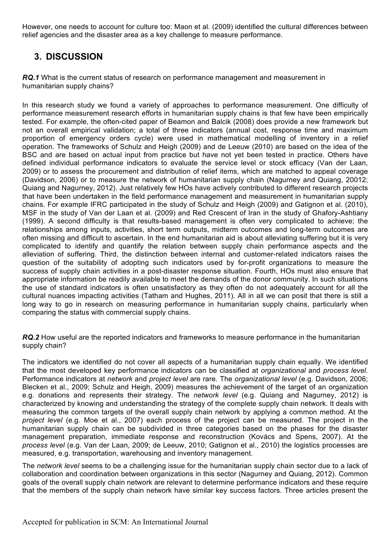However, one needs to account for culture too: Maon et al. (2009) identified the cultural differences between relief agencies and the disaster area as a key challenge to measure performance.

# **3. DISCUSSION**

**RQ.1** What is the current status of research on performance management and measurement in humanitarian supply chains?

In this research study we found a variety of approaches to performance measurement. One difficulty of performance measurement research efforts in humanitarian supply chains is that few have been empirically tested. For example, the often-cited paper of Beamon and Balcik (2008) does provide a new framework but not an overall empirical validation; a total of three indicators (annual cost, response time and maximum proportion of emergency orders cycle) were used in mathematical modelling of inventory in a relief operation. The frameworks of Schulz and Heigh (2009) and de Leeuw (2010) are based on the idea of the BSC and are based on actual input from practice but have not yet been tested in practice. Others have defined individual performance indicators to evaluate the service level or stock efficacy (Van der Laan, 2009) or to assess the procurement and distribution of relief items, which are matched to appeal coverage (Davidson, 2006) or to measure the network of humanitarian supply chain (Nagurney and Quiang, 20012; Quiang and Nagurney, 2012). Just relatively few HOs have actively contributed to different research projects that have been undertaken in the field performance management and measurement in humanitarian supply chains. For example IFRC participated in the study of Schulz and Heigh (2009) and Gatignon et al. (2010), MSF in the study of Van der Laan et al. (2009) and Red Crescent of Iran in the study of Ghafory-Ashtiany (1999). A second difficulty is that results-based management is often very complicated to achieve; the relationships among inputs, activities, short term outputs, midterm outcomes and long-term outcomes are often missing and difficult to ascertain. In the end humanitarian aid is about alleviating suffering but it is very complicated to identify and quantify the relation between supply chain performance aspects and the alleviation of suffering. Third, the distinction between internal and customer-related indicators raises the question of the suitability of adopting such indicators used by for-profit organizations to measure the success of supply chain activities in a post-disaster response situation. Fourth, HOs must also ensure that appropriate information be readily available to meet the demands of the donor community. In such situations the use of standard indicators is often unsatisfactory as they often do not adequately account for all the cultural nuances impacting activities (Tatham and Hughes, 2011). All in all we can posit that there is still a long way to go in research on measuring performance in humanitarian supply chains, particularly when comparing the status with commercial supply chains.

*RQ.2* How useful are the reported indicators and frameworks to measure performance in the humanitarian supply chain?

The indicators we identified do not cover all aspects of a humanitarian supply chain equally. We identified that the most developed key performance indicators can be classified at *organizational* and *process level*. Performance indicators at *network* and *project level* are rare. The *organizational level* (e.g. Davidson, 2006; Blecken et al., 2009; Schulz and Heigh, 2009) measures the achievement of the target of an organization e.g. donations and represents their strategy. The *network level* (e.g. Quiang and Nagurney, 2012) is characterized by knowing and understanding the strategy of the complete supply chain network. It deals with measuring the common targets of the overall supply chain network by applying a common method. At the *project level* (e.g. Moe et al., 2007) each process of the project can be measured. The project in the humanitarian supply chain can be subdivided in three categories based on the phases for the disaster management preparation, immediate response and reconstruction (Kovács and Spens, 2007). At the *process level* (e.g. Van der Laan, 2009; de Leeuw, 2010; Gatignon et al., 2010) the logistics processes are measured, e.g. transportation, warehousing and inventory management.

The *network level* seems to be a challenging issue for the humanitarian supply chain sector due to a lack of collaboration and coordination between organizations in this sector (Nagurney and Quiang, 2012). Common goals of the overall supply chain network are relevant to determine performance indicators and these require that the members of the supply chain network have similar key success factors. Three articles present the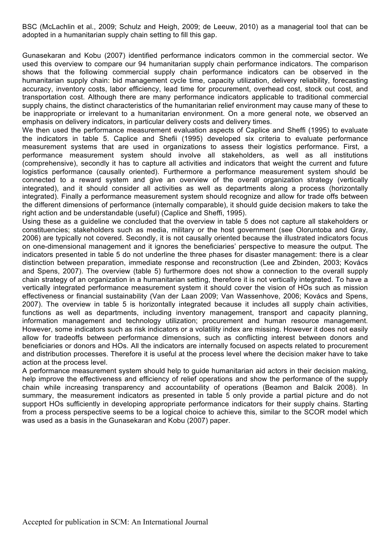BSC (McLachlin et al., 2009; Schulz and Heigh, 2009; de Leeuw, 2010) as a managerial tool that can be adopted in a humanitarian supply chain setting to fill this gap.

Gunasekaran and Kobu (2007) identified performance indicators common in the commercial sector. We used this overview to compare our 94 humanitarian supply chain performance indicators. The comparison shows that the following commercial supply chain performance indicators can be observed in the humanitarian supply chain: bid management cycle time, capacity utilization, delivery reliability, forecasting accuracy, inventory costs, labor efficiency, lead time for procurement, overhead cost, stock out cost, and transportation cost. Although there are many performance indicators applicable to traditional commercial supply chains, the distinct characteristics of the humanitarian relief environment may cause many of these to be inappropriate or irrelevant to a humanitarian environment. On a more general note, we observed an emphasis on delivery indicators, in particular delivery costs and delivery times.

We then used the performance measurement evaluation aspects of Caplice and Sheffi (1995) to evaluate the indicators in table 5. Caplice and Shefii (1995) developed six criteria to evaluate performance measurement systems that are used in organizations to assess their logistics performance. First, a performance measurement system should involve all stakeholders, as well as all institutions (comprehensive), secondly it has to capture all activities and indicators that weight the current and future logistics performance (causally oriented). Furthermore a performance measurement system should be connected to a reward system and give an overview of the overall organization strategy (vertically integrated), and it should consider all activities as well as departments along a process (horizontally integrated). Finally a performance measurement system should recognize and allow for trade offs between the different dimensions of performance (internally comparable), it should guide decision makers to take the right action and be understandable (useful) (Caplice and Sheffi, 1995).

Using these as a guideline we concluded that the overview in table 5 does not capture all stakeholders or constituencies; stakeholders such as media, military or the host government (see Oloruntoba and Gray, 2006) are typically not covered. Secondly, it is not causally oriented because the illustrated indicators focus on one-dimensional management and it ignores the beneficiaries' perspective to measure the output. The indicators presented in table 5 do not underline the three phases for disaster management: there is a clear distinction between preparation, immediate response and reconstruction (Lee and Zbinden, 2003; Kovács and Spens, 2007). The overview (table 5) furthermore does not show a connection to the overall supply chain strategy of an organization in a humanitarian setting, therefore it is not vertically integrated. To have a vertically integrated performance measurement system it should cover the vision of HOs such as mission effectiveness or financial sustainability (Van der Laan 2009; Van Wassenhove, 2006; Kovács and Spens, 2007). The overview in table 5 is horizontally integrated because it includes all supply chain activities, functions as well as departments, including inventory management, transport and capacity planning, information management and technology utilization; procurement and human resource management. However, some indicators such as risk indicators or a volatility index are missing. However it does not easily allow for tradeoffs between performance dimensions, such as conflicting interest between donors and beneficiaries or donors and HOs. All the indicators are internally focused on aspects related to procurement and distribution processes. Therefore it is useful at the process level where the decision maker have to take action at the process level.

A performance measurement system should help to guide humanitarian aid actors in their decision making, help improve the effectiveness and efficiency of relief operations and show the performance of the supply chain while increasing transparency and accountability of operations (Beamon and Balcik 2008). In summary, the measurement indicators as presented in table 5 only provide a partial picture and do not support HOs sufficiently in developing appropriate performance indicators for their supply chains. Starting from a process perspective seems to be a logical choice to achieve this, similar to the SCOR model which was used as a basis in the Gunasekaran and Kobu (2007) paper.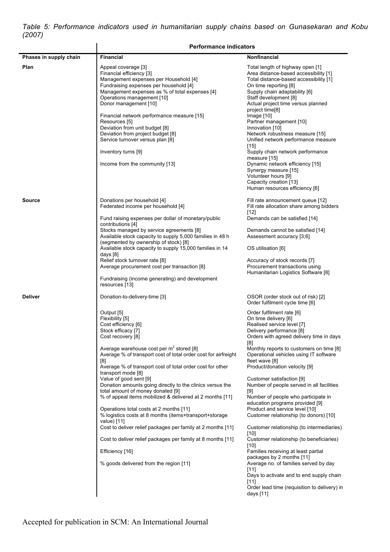*Table 5: Performance indicators used in humanitarian supply chains based on Gunasekaran and Kobu (2007)*

|                        | <b>Performance indicators</b>                                                                                                                                                                                                                                                                                                                                                                                                                                                                                                                                                                                                             |                                                                                                                                                                                                                                                                                                                                                                                                                                                                                                                                                                                                                                 |  |
|------------------------|-------------------------------------------------------------------------------------------------------------------------------------------------------------------------------------------------------------------------------------------------------------------------------------------------------------------------------------------------------------------------------------------------------------------------------------------------------------------------------------------------------------------------------------------------------------------------------------------------------------------------------------------|---------------------------------------------------------------------------------------------------------------------------------------------------------------------------------------------------------------------------------------------------------------------------------------------------------------------------------------------------------------------------------------------------------------------------------------------------------------------------------------------------------------------------------------------------------------------------------------------------------------------------------|--|
| Phases in supply chain | <b>Financial</b>                                                                                                                                                                                                                                                                                                                                                                                                                                                                                                                                                                                                                          | <b>Nonfinancial</b>                                                                                                                                                                                                                                                                                                                                                                                                                                                                                                                                                                                                             |  |
| Plan                   | Appeal coverage [3]<br>Financial efficiency [3]<br>Management expenses per Household [4]<br>Fundraising expenses per household [4]<br>Management expenses as % of total expenses [4]<br>Operations management [10]<br>Donor management [10]<br>Financial network performance measure [15]<br>Resources [5]<br>Deviation from unit budget [8]<br>Deviation from project budget [8]<br>Service turnover versus plan [8]<br>Inventory turns [9]<br>Income from the community [13]                                                                                                                                                            | Total length of highway open [1]<br>Area distance-based accessibility [1]<br>Total distance-based accessibility [1]<br>On time reporting [8]<br>Supply chain adaptability [6]<br>Staff development [8]<br>Actual project time versus planned<br>project time <sup>[8]</sup><br>Image $[10]$<br>Partner management [10]<br>Innovation [10]<br>Network robustness measure [15]<br>Unified network performance measure<br>$[15]$<br>Supply chain network performance<br>measure [15]<br>Dynamic network efficiency [15]<br>Synergy measure [15]<br>Volunteer hours [9]<br>Capacity creation [13]<br>Human resources efficiency [6] |  |
| <b>Source</b>          | Donations per household [4]<br>Federated income per household [4]<br>Fund raising expenses per dollar of monetary/public<br>contributions [4]<br>Stocks managed by service agreements [8]<br>Available stock capacity to supply 5,000 families in 48 h<br>(segmented by ownership of stock) [8]<br>Available stock capacity to supply 15,000 families in 14<br>days [8]<br>Relief stock turnover rate [8]<br>Average procurement cost per transaction [8]<br>Fundraising (income generating) and development<br>resources [13]                                                                                                            | Fill rate announcement queue [12]<br>Fill rate allocation share among bidders<br>$[12]$<br>Demands can be satisfied [14]<br>Demands cannot be satisfied [14]<br>Assessment accuracy [3;6]<br>OS utilisation [6]<br>Accuracy of stock records [7]<br>Procurement transactions using<br>Humanitarian Logistics Software [8]                                                                                                                                                                                                                                                                                                       |  |
| <b>Deliver</b>         | Donation-to-delivery-time [3]<br>Output [5]<br>Flexibility [5]<br>Cost efficiency [6]<br>Stock efficacy [7]<br>Cost recovery [8]<br>Average warehouse cost per $m^2$ stored [8]<br>Average % of transport cost of total order cost for airfreight<br>[8]<br>Average % of transport cost of total order cost for other<br>transport mode [8]<br>Value of good sent [9]<br>Donation amounts going directly to the clinics versus the<br>total amount of money donated [9]<br>% of appeal items mobilized & delivered at 2 months [11]<br>Operations total costs at 2 months [11]<br>% logistics costs at 8 months (items+transport+storage) | OSOR (order stock out of risk) [2]<br>Order fulfilment cycle time [6]<br>Order fulfilment rate [6]<br>On time delivery [6]<br>Realised service level [7]<br>Delivery performance [8]<br>Orders with agreed delivery time in days<br>[8]<br>Monthly reports to customers on time [8]<br>Operational vehicles using IT software<br>fleet wave [8]<br>Product/donation velocity [9]<br>Customer satisfaction [9]<br>Number of people served in all facilities<br>[9]<br>Number of people who participate in<br>education programs provided [9]<br>Product and service level [10]<br>Customer relationship (to donors) [10]         |  |
|                        | value) [11]<br>Cost to deliver relief packages per family at 2 months [11]<br>Cost to deliver relief packages per family at 8 months [11]<br>Efficiency [16]<br>% goods delivered from the region [11]                                                                                                                                                                                                                                                                                                                                                                                                                                    | Customer relationship (to intermediaries)<br>$[10]$<br>Customer relationship (to beneficiaries)<br>$[10]$<br>Families receiving at least partial<br>packages by 2 months [11]<br>Average no. of families served by day<br>$[11]$<br>Days to activate and to end supply chain<br>[11]<br>Order lead time (requisition to delivery) in<br>days [11]                                                                                                                                                                                                                                                                               |  |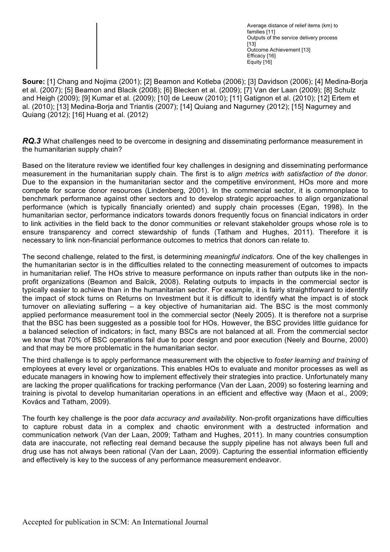Average distance of relief items (km) to families [11] Outputs of the service delivery process  $[13]$ Outcome Achievement [13] Efficacy [16] Equity [16]

**Soure:** [1] Chang and Nojima (2001); [2] Beamon and Kotleba (2006); [3] Davidson (2006); [4] Medina-Borja et al. (2007); [5] Beamon and Blacik (2008); [6] Blecken et al. (2009); [7] Van der Laan (2009); [8] Schulz and Heigh (2009); [9] Kumar et al. (2009); [10] de Leeuw (2010); [11] Gatignon et al. (2010); [12] Ertem et al. (2010); [13] Medina-Borja and Triantis (2007); [14] Quiang and Nagurney (2012); [15] Nagurney and Quiang (2012); [16] Huang et al. (2012)

*RQ.3* What challenges need to be overcome in designing and disseminating performance measurement in the humanitarian supply chain?

Based on the literature review we identified four key challenges in designing and disseminating performance measurement in the humanitarian supply chain. The first is to *align metrics with satisfaction of the donor*. Due to the expansion in the humanitarian sector and the competitive environment, HOs more and more compete for scarce donor resources (Lindenberg, 2001). In the commercial sector, it is commonplace to benchmark performance against other sectors and to develop strategic approaches to align organizational performance (which is typically financially oriented) and supply chain processes (Egan, 1998). In the humanitarian sector, performance indicators towards donors frequently focus on financial indicators in order to link activities in the field back to the donor communities or relevant stakeholder groups whose role is to ensure transparency and correct stewardship of funds (Tatham and Hughes, 2011). Therefore it is necessary to link non-financial performance outcomes to metrics that donors can relate to.

The second challenge, related to the first, is determining *meaningful indicators*. One of the key challenges in the humanitarian sector is in the difficulties related to the connecting measurement of outcomes to impacts in humanitarian relief. The HOs strive to measure performance on inputs rather than outputs like in the nonprofit organizations (Beamon and Balcik, 2008). Relating outputs to impacts in the commercial sector is typically easier to achieve than in the humanitarian sector. For example, it is fairly straightforward to identify the impact of stock turns on Returns on Investment but it is difficult to identify what the impact is of stock turnover on alleviating suffering – a key objective of humanitarian aid. The BSC is the most commonly applied performance measurement tool in the commercial sector (Neely 2005). It is therefore not a surprise that the BSC has been suggested as a possible tool for HOs. However, the BSC provides little guidance for a balanced selection of indicators; in fact, many BSCs are not balanced at all. From the commercial sector we know that 70% of BSC operations fail due to poor design and poor execution (Neely and Bourne, 2000) and that may be more problematic in the humanitarian sector.

The third challenge is to apply performance measurement with the objective to *foster learning and training* of employees at every level or organizations. This enables HOs to evaluate and monitor processes as well as educate managers in knowing how to implement effectively their strategies into practice. Unfortunately many are lacking the proper qualifications for tracking performance (Van der Laan, 2009) so fostering learning and training is pivotal to develop humanitarian operations in an efficient and effective way (Maon et al., 2009; Kovács and Tatham, 2009).

The fourth key challenge is the poor *data accuracy and availability*. Non-profit organizations have difficulties to capture robust data in a complex and chaotic environment with a destructed information and communication network (Van der Laan, 2009; Tatham and Hughes, 2011). In many countries consumption data are inaccurate, not reflecting real demand because the supply pipeline has not always been full and drug use has not always been rational (Van der Laan, 2009). Capturing the essential information efficiently and effectively is key to the success of any performance measurement endeavor.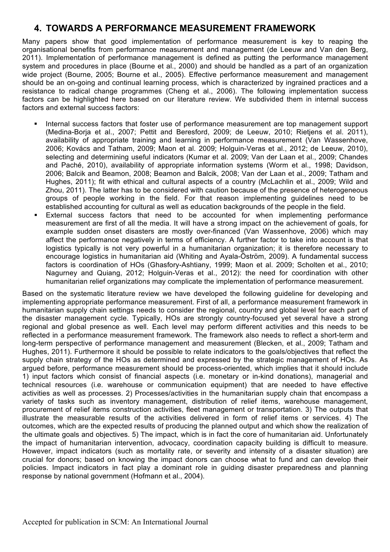## **4. TOWARDS A PERFORMANCE MEASUREMENT FRAMEWORK**

Many papers show that good implementation of performance measurement is key to reaping the organisational benefits from performance measurement and management (de Leeuw and Van den Berg, 2011). Implementation of performance management is defined as putting the performance management system and procedures in place (Bourne et al., 2000) and should be handled as a part of an organization wide project (Bourne, 2005; Bourne et al., 2005). Effective performance measurement and management should be an on-going and continual learning process, which is characterized by ingrained practices and a resistance to radical change programmes (Cheng et al., 2006). The following implementation success factors can be highlighted here based on our literature review. We subdivided them in internal success factors and external success factors:

- Internal success factors that foster use of performance measurement are top management support (Medina-Borja et al., 2007; Pettit and Beresford, 2009; de Leeuw, 2010; Rietjens et al. 2011), availability of appropriate training and learning in performance measurement (Van Wassenhove, 2006; Kovács and Tatham, 2009; Maon et al. 2009; Holguin-Veras et al., 2012; de Leeuw, 2010), selecting and determining useful indicators (Kumar et al. 2009; Van der Laan et al., 2009; Chandes and Paché, 2010), availability of appropriate information systems (Worm et al., 1998; Davidson, 2006; Balcik and Beamon, 2008; Beamon and Balcik, 2008; Van der Laan et al., 2009; Tatham and Hughes, 2011); fit with ethical and cultural aspects of a country (McLachlin et al., 2009; Wild and Zhou, 2011). The latter has to be considered with caution because of the presence of heterogeneous groups of people working in the field. For that reason implementing guidelines need to be established accounting for cultural as well as education backgrounds of the people in the field.
- External success factors that need to be accounted for when implementing performance measurement are first of all the media. It will have a strong impact on the achievement of goals, for example sudden onset disasters are mostly over-financed (Van Wassenhove, 2006) which may affect the performance negatively in terms of efficiency. A further factor to take into account is that logistics typically is not very powerful in a humanitarian organization; it is therefore necessary to encourage logistics in humanitarian aid (Whiting and Ayala-Öström, 2009). A fundamental success factors is coordination of HOs (Ghasfory-Ashtiany, 1999; Maon et al. 2009; Scholten et al., 2010; Nagurney and Quiang, 2012; Holguin-Veras et al., 2012): the need for coordination with other humanitarian relief organizations may complicate the implementation of performance measurement.

Based on the systematic literature review we have developed the following guideline for developing and implementing appropriate performance measurement. First of all, a performance measurement framework in humanitarian supply chain settings needs to consider the regional, country and global level for each part of the disaster management cycle. Typically, HOs are strongly country-focused yet several have a strong regional and global presence as well. Each level may perform different activities and this needs to be reflected in a performance measurement framework. The framework also needs to reflect a short-term and long-term perspective of performance management and measurement (Blecken, et al., 2009; Tatham and Hughes, 2011). Furthermore it should be possible to relate indicators to the goals/objectives that reflect the supply chain strategy of the HOs as determined and expressed by the strategic management of HOs. As argued before, performance measurement should be process-oriented, which implies that it should include 1) input factors which consist of financial aspects (i.e. monetary or in-kind donations), managerial and technical resources (i.e. warehouse or communication equipment) that are needed to have effective activities as well as processes. 2) Processes/activities in the humanitarian supply chain that encompass a variety of tasks such as inventory management, distribution of relief items, warehouse management, procurement of relief items construction activities, fleet management or transportation. 3) The outputs that illustrate the measurable results of the activities delivered in form of relief items or services. 4) The outcomes, which are the expected results of producing the planned output and which show the realization of the ultimate goals and objectives. 5) The impact, which is in fact the core of humanitarian aid. Unfortunately the impact of humanitarian intervention, advocacy, coordination capacity building is difficult to measure. However, impact indicators (such as mortality rate, or severity and intensity of a disaster situation) are crucial for donors; based on knowing the impact donors can choose what to fund and can develop their policies. Impact indicators in fact play a dominant role in guiding disaster preparedness and planning response by national government (Hofmann et al., 2004).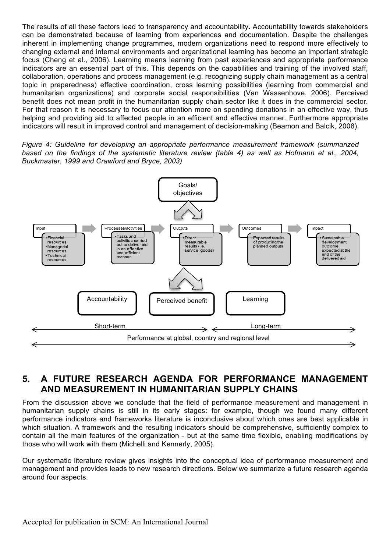The results of all these factors lead to transparency and accountability. Accountability towards stakeholders can be demonstrated because of learning from experiences and documentation. Despite the challenges inherent in implementing change programmes, modern organizations need to respond more effectively to changing external and internal environments and organizational learning has become an important strategic focus (Cheng et al., 2006). Learning means learning from past experiences and appropriate performance indicators are an essential part of this. This depends on the capabilities and training of the involved staff, collaboration, operations and process management (e.g. recognizing supply chain management as a central topic in preparedness) effective coordination, cross learning possibilities (learning from commercial and humanitarian organizations) and corporate social responsibilities (Van Wassenhove, 2006). Perceived benefit does not mean profit in the humanitarian supply chain sector like it does in the commercial sector. For that reason it is necessary to focus our attention more on spending donations in an effective way, thus helping and providing aid to affected people in an efficient and effective manner. Furthermore appropriate indicators will result in improved control and management of decision-making (Beamon and Balcik, 2008).

*Figure 4: Guideline for developing an appropriate performance measurement framework (summarized based on the findings of the systematic literature review (table 4) as well as Hofmann et al., 2004, Buckmaster, 1999 and Crawford and Bryce, 2003)*



## **5. A FUTURE RESEARCH AGENDA FOR PERFORMANCE MANAGEMENT AND MEASUREMENT IN HUMANITARIAN SUPPLY CHAINS**

From the discussion above we conclude that the field of performance measurement and management in humanitarian supply chains is still in its early stages: for example, though we found many different performance indicators and frameworks literature is inconclusive about which ones are best applicable in which situation. A framework and the resulting indicators should be comprehensive, sufficiently complex to contain all the main features of the organization - but at the same time flexible, enabling modifications by those who will work with them (Michelli and Kennerly, 2005).

Our systematic literature review gives insights into the conceptual idea of performance measurement and management and provides leads to new research directions. Below we summarize a future research agenda around four aspects.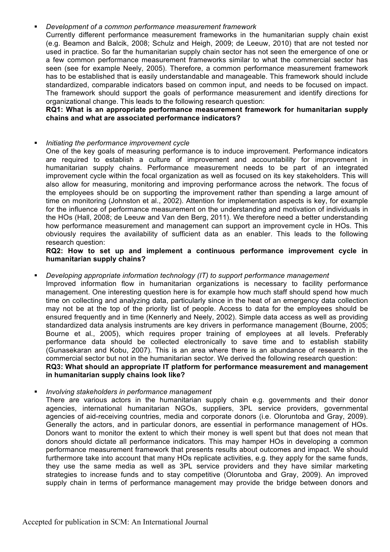#### § *Development of a common performance measurement framework*

Currently different performance measurement frameworks in the humanitarian supply chain exist (e.g. Beamon and Balcik, 2008; Schulz and Heigh, 2009; de Leeuw, 2010) that are not tested nor used in practice. So far the humanitarian supply chain sector has not seen the emergence of one or a few common performance measurement frameworks similar to what the commercial sector has seen (see for example Neely, 2005). Therefore, a common performance measurement framework has to be established that is easily understandable and manageable. This framework should include standardized, comparable indicators based on common input, and needs to be focused on impact. The framework should support the goals of performance measurement and identify directions for organizational change. This leads to the following research question:

**RQ1: What is an appropriate performance measurement framework for humanitarian supply chains and what are associated performance indicators?**

#### § *Initiating the performance improvement cycle*

One of the key goals of measuring performance is to induce improvement. Performance indicators are required to establish a culture of improvement and accountability for improvement in humanitarian supply chains. Performance measurement needs to be part of an integrated improvement cycle within the focal organization as well as focused on its key stakeholders. This will also allow for measuring, monitoring and improving performance across the network. The focus of the employees should be on supporting the improvement rather than spending a large amount of time on monitoring (Johnston et al., 2002). Attention for implementation aspects is key, for example for the influence of performance measurement on the understanding and motivation of individuals in the HOs (Hall, 2008; de Leeuw and Van den Berg, 2011). We therefore need a better understanding how performance measurement and management can support an improvement cycle in HOs. This obviously requires the availability of sufficient data as an enabler. This leads to the following research question:

#### **RQ2: How to set up and implement a continuous performance improvement cycle in humanitarian supply chains?**

§ *Developing appropriate information technology (IT) to support performance management* Improved information flow in humanitarian organizations is necessary to facility performance management. One interesting question here is for example how much staff should spend how much time on collecting and analyzing data, particularly since in the heat of an emergency data collection may not be at the top of the priority list of people. Access to data for the employees should be ensured frequently and in time (Kennerly and Neely, 2002). Simple data access as well as providing standardized data analysis instruments are key drivers in performance management (Bourne, 2005; Bourne et al., 2005), which requires proper training of employees at all levels. Preferably performance data should be collected electronically to save time and to establish stability (Gunasekaran and Kobu, 2007). This is an area where there is an abundance of research in the commercial sector but not in the humanitarian sector. We derived the following research question: **RQ3: What should an appropriate IT platform for performance measurement and management in humanitarian supply chains look like?**

#### § *Involving stakeholders in performance management*

There are various actors in the humanitarian supply chain e.g. governments and their donor agencies, international humanitarian NGOs, suppliers, 3PL service providers, governmental agencies of aid-receiving countries, media and corporate donors (i.e. Oloruntoba and Gray, 2009). Generally the actors, and in particular donors, are essential in performance management of HOs. Donors want to monitor the extent to which their money is well spent but that does not mean that donors should dictate all performance indicators. This may hamper HOs in developing a common performance measurement framework that presents results about outcomes and impact. We should furthermore take into account that many HOs replicate activities, e.g. they apply for the same funds, they use the same media as well as 3PL service providers and they have similar marketing strategies to increase funds and to stay competitive (Oloruntoba and Gray, 2009). An improved supply chain in terms of performance management may provide the bridge between donors and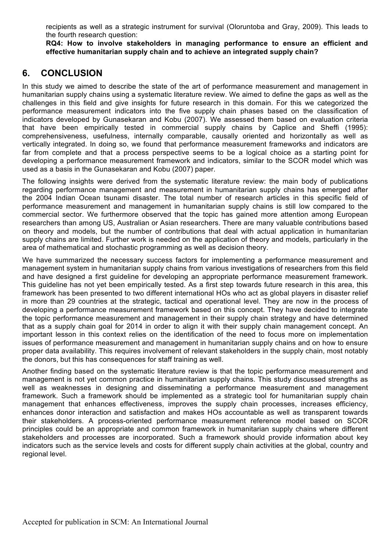recipients as well as a strategic instrument for survival (Oloruntoba and Gray, 2009). This leads to the fourth research question:

**RQ4: How to involve stakeholders in managing performance to ensure an efficient and effective humanitarian supply chain and to achieve an integrated supply chain?**

## **6. CONCLUSION**

In this study we aimed to describe the state of the art of performance measurement and management in humanitarian supply chains using a systematic literature review. We aimed to define the gaps as well as the challenges in this field and give insights for future research in this domain. For this we categorized the performance measurement indicators into the five supply chain phases based on the classification of indicators developed by Gunasekaran and Kobu (2007). We assessed them based on evaluation criteria that have been empirically tested in commercial supply chains by Caplice and Sheffi (1995): comprehensiveness, usefulness, internally comparable, causally oriented and horizontally as well as vertically integrated. In doing so, we found that performance measurement frameworks and indicators are far from complete and that a process perspective seems to be a logical choice as a starting point for developing a performance measurement framework and indicators, similar to the SCOR model which was used as a basis in the Gunasekaran and Kobu (2007) paper.

The following insights were derived from the systematic literature review: the main body of publications regarding performance management and measurement in humanitarian supply chains has emerged after the 2004 Indian Ocean tsunami disaster. The total number of research articles in this specific field of performance measurement and management in humanitarian supply chains is still low compared to the commercial sector. We furthermore observed that the topic has gained more attention among European researchers than among US, Australian or Asian researchers. There are many valuable contributions based on theory and models, but the number of contributions that deal with actual application in humanitarian supply chains are limited. Further work is needed on the application of theory and models, particularly in the area of mathematical and stochastic programming as well as decision theory.

We have summarized the necessary success factors for implementing a performance measurement and management system in humanitarian supply chains from various investigations of researchers from this field and have designed a first guideline for developing an appropriate performance measurement framework. This guideline has not yet been empirically tested. As a first step towards future research in this area, this framework has been presented to two different international HOs who act as global players in disaster relief in more than 29 countries at the strategic, tactical and operational level. They are now in the process of developing a performance measurement framework based on this concept. They have decided to integrate the topic performance measurement and management in their supply chain strategy and have determined that as a supply chain goal for 2014 in order to align it with their supply chain management concept. An important lesson in this context relies on the identification of the need to focus more on implementation issues of performance measurement and management in humanitarian supply chains and on how to ensure proper data availability. This requires involvement of relevant stakeholders in the supply chain, most notably the donors, but this has consequences for staff training as well.

Another finding based on the systematic literature review is that the topic performance measurement and management is not yet common practice in humanitarian supply chains. This study discussed strengths as well as weaknesses in designing and disseminating a performance measurement and management framework. Such a framework should be implemented as a strategic tool for humanitarian supply chain management that enhances effectiveness, improves the supply chain processes, increases efficiency, enhances donor interaction and satisfaction and makes HOs accountable as well as transparent towards their stakeholders. A process-oriented performance measurement reference model based on SCOR principles could be an appropriate and common framework in humanitarian supply chains where different stakeholders and processes are incorporated. Such a framework should provide information about key indicators such as the service levels and costs for different supply chain activities at the global, country and regional level.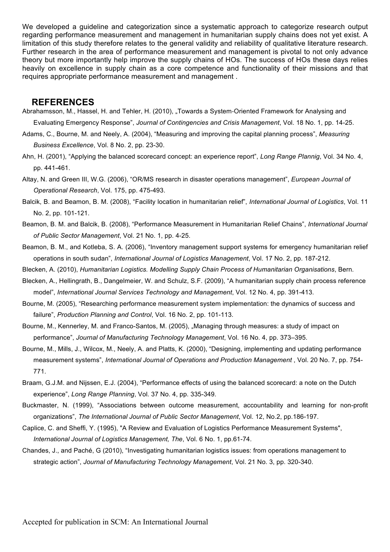We developed a guideline and categorization since a systematic approach to categorize research output regarding performance measurement and management in humanitarian supply chains does not yet exist. A limitation of this study therefore relates to the general validity and reliability of qualitative literature research. Further research in the area of performance measurement and management is pivotal to not only advance theory but more importantly help improve the supply chains of HOs. The success of HOs these days relies heavily on excellence in supply chain as a core competence and functionality of their missions and that requires appropriate performance measurement and management .

### **REFERENCES**

Abrahamsson, M., Hassel, H. and Tehler, H. (2010), "Towards a System-Oriented Framework for Analysing and Evaluating Emergency Response", *Journal of Contingencies and Crisis Management*, Vol. 18 No. 1, pp. 14-25.

Adams, C., Bourne, M. and Neely, A. (2004), "Measuring and improving the capital planning process", *Measuring Business Excellence*, Vol. 8 No. 2, pp. 23-30.

Ahn, H. (2001), "Applying the balanced scorecard concept: an experience report", *Long Range Plannig*, Vol. 34 No. 4, pp. 441-461.

Altay, N. and Green III, W.G. (2006), "OR/MS research in disaster operations management", *European Journal of Operational Research*, Vol. 175, pp. 475-493.

Balcik, B. and Beamon, B. M. (2008), "Facility location in humanitarian relief", *International Journal of Logistics*, Vol. 11 No. 2, pp. 101-121.

Beamon, B. M. and Balcik, B. (2008), "Performance Measurement in Humanitarian Relief Chains", *International Journal of Public Sector Management*, Vol. 21 No. 1, pp. 4-25.

- Beamon, B. M., and Kotleba, S. A. (2006), "Inventory management support systems for emergency humanitarian relief operations in south sudan", *International Journal of Logistics Management*, Vol. 17 No. 2, pp. 187-212.
- Blecken, A. (2010), *Humanitarian Logistics. Modelling Supply Chain Process of Humanitarian Organisations*, Bern.
- Blecken, A., Hellingrath, B., Dangelmeier, W. and Schulz, S.F. (2009), "A humanitarian supply chain process reference model", *International Journal Services Technology and Management*, Vol. 12 No. 4, pp. 391-413.
- Bourne, M. (2005), "Researching performance measurement system implementation: the dynamics of success and failure", *Production Planning and Control*, Vol. 16 No. 2, pp. 101-113.

Bourne, M., Kennerley, M. and Franco-Santos, M. (2005), "Managing through measures: a study of impact on performance", *Journal of Manufacturing Technology Management*, Vol. 16 No. 4, pp. 373–395.

- Bourne, M., Mills, J., Wilcox, M., Neely, A. and Platts, K. (2000), "Designing, implementing and updating performance measurement systems", *International Journal of Operations and Production Management* , Vol. 20 No. 7, pp. 754- 771.
- Braam, G.J.M. and Nijssen, E.J. (2004), "Performance effects of using the balanced scorecard: a note on the Dutch experience", *Long Range Planning*, Vol. 37 No. 4, pp. 335-349.
- Buckmaster, N. (1999), "Associations between outcome measurement, accountability and learning for non-profit organizations", *The International Journal of Public Sector Management*, Vol. 12, No.2, pp.186-197.
- Caplice, C. and Sheffi, Y. (1995), "A Review and Evaluation of Logistics Performance Measurement Systems", *International Journal of Logistics Management, The*, Vol. 6 No. 1, pp.61-74.
- Chandes, J., and Paché, G (2010), "Investigating humanitarian logistics issues: from operations management to strategic action", *Journal of Manufacturing Technology Management*, Vol. 21 No. 3, pp. 320-340.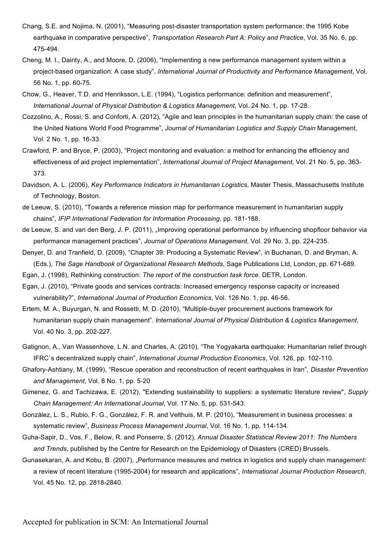- Chang, S.E. and Nojima, N. (2001), "Measuring post-disaster transportation system performance: the 1995 Kobe earthquake in comparative perspective", *Transportation Research Part A: Policy and Practice*, Vol. 35 No. 6, pp. 475-494.
- Cheng, M. I., Dainty, A., and Moore, D. (2006), "Implementing a new performance management system within a project-based organization: A case study", *International Journal of Productivity and Performance Management*, Vol. 56 No. 1, pp. 60-75.
- Chow, G., Heaver, T.D. and Henriksson, L.E. (1994), "Logistics performance: definition and measurement", *International Journal of Physical Distribution & Logistics Management*, Vol. 24 No. 1, pp. 17-28.
- Cozzolino, A., Rossi, S. and Conforti, A. (2012), "Agile and lean principles in the humanitarian supply chain: the case of the United Nations World Food Programme", *Journal of Humanitarian Logistics and Supply Chain* Management, Vol. 2 No. 1, pp. 16-33.
- Crawford, P. and Bryce, P. (2003), "Project monitoring and evaluation: a method for enhancing the efficiency and effectiveness of aid project implementation", *International Journal of Project Management*, Vol. 21 No. 5, pp. 363- 373.
- Davidson, A. L. (2006), *Key Performance Indicators in Humanitarian Logistics*, Master Thesis, Massachusetts Institute of Technology, Boston.
- de Leeuw, S. (2010), "Towards a reference mission map for performance measurement in humanitarian supply chains", *IFIP International Federation for Information Processing*, pp. 181-188.
- de Leeuw, S. and van den Berg, J. P. (2011), "Improving operational performance by influencing shopfloor behavior via performance management practices", *Journal of Operations Management*, Vol. 29 No. 3, pp. 224-235.
- Denyer, D. and Tranfield, D. (2009), "Chapter 39: Producing a Systematic Review", in Buchanan, D. and Bryman, A. (Eds.), *The Sage Handbook of Organizational Research Methods*, Sage Publications Ltd, London, pp. 671-689.
- Egan, J. (1998), Rethinking construction: *The report of the construction task force*. DETR, London.
- Egan, J. (2010), "Private goods and services contracts: Increased emergency response capacity or increased vulnerability?", *International Journal of Production Economics*, Vol. 126 No. 1, pp. 46-56.
- Ertem, M. A., Buyurgan, N. and Rossetti, M. D. (2010), "Multiple-buyer procurement auctions framework for humanitarian supply chain management". *International Journal of Physical Distribution & Logistics Management*, Vol. 40 No. 3, pp. 202-227.
- Gatignon, A., Van Wassenhove, L.N. and Charles, A. (2010), "The Yogyakarta earthquake: Humanitarian relief through IFRC`s decentralized supply chain", *International Journal Production Economics*, Vol. 126, pp. 102-110.
- Ghafory-Ashtiany, M. (1999), "Rescue operation and reconstruction of recent earthquakes in Iran", *Disaster Prevention and Management*, Vol. 8 No. 1, pp. 5-20
- Gimenez, G. and Tachizawa, E. (2012), "Extending sustainability to suppliers: a systematic literature review", *Supply Chain Management: An International Journal*, Vol. 17 No. 5, pp. 531-543.
- González, L. S., Rubio, F. G., González, F. R. and Velthuis, M. P. (2010), "Measurement in business processes: a systematic review", *Business Process Management Journal*, Vol. 16 No. 1, pp. 114-134.
- Guha-Sapir, D., Vos, F., Below, R. and Ponserre, S. (2012), *Annual Disaster Statistical Review 2011*: *The Numbers and Trends*, published by the Centre for Research on the Epidemiology of Disasters (CRED) Brussels.
- Gunasekaran, A. and Kobu, B. (2007), "Performance measures and metrics in logistics and supply chain management: a review of recent literature (1995-2004) for research and applications", *International Journal Production Research*, Vol. 45 No. 12, pp. 2818-2840.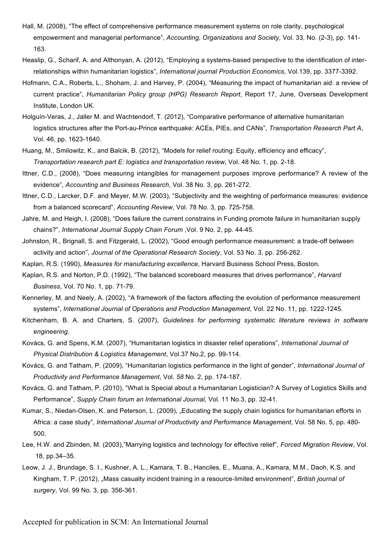- Hall, M. (2008), "The effect of comprehensive performance measurement systems on role clarity, psychological empowerment and managerial performance", *Accounting, Organizations and Society,* Vol. 33*,* No. (2-3), pp. 141- 163.
- Heaslip, G., Scharif, A. and Althonyan, A. (2012), "Employing a systems-based perspective to the identification of interrelationships within humanitarian logistics", *International journal Production Economics*, Vol.139, pp. 3377-3392.
- Hofmann, C.A., Roberts, L., Shoham, J. and Harvey, P. (2004), "Measuring the impact of humanitarian aid: a review of current practice", *Humanitarian Policy group (HPG) Research Report*, Report 17, June, Overseas Development Institute, London UK.
- Holguín-Veras, J., Jaller M. and Wachtendorf, T. (2012), "Comparative performance of alternative humanitarian logistics structures after the Port-au-Prince earthquake: ACEs, PIEs, and CANs", *Transportation Research Part A*, Vol. 46, pp. 1623-1640.
- Huang, M., Smilowitz, K., and Balcik, B. (2012), "Models for relief routing: Equity, efficiency and efficacy", *Transportation research part E: logistics and transportation review*, Vol. 48 No. 1, pp. 2-18.
- Ittner, C.D., (2008), "Does measuring intangibles for management purposes improve performance? A review of the evidence", *Accounting and Business Research*, Vol. 38 No. 3, pp. 261-272.
- Ittner, C.D., Larcker, D.F. and Meyer, M.W. (2003), "Subjectivity and the weighting of performance measures: evidence from a balanced scorecard", *Accounting Review*, Vol. 78 No. 3, pp. 725-758.
- Jahre, M. and Heigh, I. (2008), "Does failure the current constrains in Funding promote failure in humanitarian supply chains?", *International Journal Supply Chain Forum* ,Vol. 9 No. 2, pp. 44-45.
- Johnston, R., Brignall, S. and Fitzgerald, L. (2002), "Good enough performance measurement: a trade-off between activity and action", *Journal of the Operational Research Society*, Vol. 53 No. 3, pp. 256-262.
- Kaplan, R.S. (1990), *Measures for manufacturing excellence*, Harvard Business School Press, Boston.
- Kaplan, R.S. and Norton, P.D. (1992), "The balanced scoreboard measures that drives performance", *Harvard Business*, Vol. 70 No. 1, pp. 71-79.
- Kennerley, M. and Neely, A. (2002), "A framework of the factors affecting the evolution of performance measurement systems", *International Journal of Operations and Production Management*, Vol. 22 No. 11, pp. 1222-1245.
- Kitchenham, B. A. and Charters, S. (2007), *Guidelines for performing systematic literature reviews in software engineering*.
- Kovács, G. and Spens, K.M. (2007), "Humanitarian logistics in disaster relief operations", *International Journal of Physical Distribution & Logistics Management*, Vol.37 No.2, pp. 99-114.
- Kovács, G. and Tatham, P. (2009), "Humanitarian logistics performance in the light of gender", *International Journal of Productivity and Performance Management*, Vol. *58* No. 2, pp. 174-187.
- Kovács, G. and Tatham, P. (2010), "What is Special about a Humanitarian Logistician? A Survey of Logistics Skills and Performance", *Supply Chain forum an International Journal*, Vol. 11 No.3, pp. 32-41.
- Kumar, S., Niedan-Olsen, K. and Peterson, L. (2009), "Educating the supply chain logistics for humanitarian efforts in Africa: a case study", *International Journal of Productivity and Performance Management*, Vol. 58 No. 5, pp. 480- 500.
- Lee, H.W. and Zbinden, M. (2003),"Marrying logistics and technology for effective relief", *Forced Migration Review*, Vol. 18, pp.34–35.
- Leow, J. J., Brundage, S. I., Kushner, A. L., Kamara, T. B., Hanciles, E., Muana, A., Kamara, M.M., Daoh, K.S. and Kingham, T. P. (2012), "Mass casualty incident training in a resource-limited environment", *British journal of surgery*, Vol. 99 No. 3, pp. 356-361.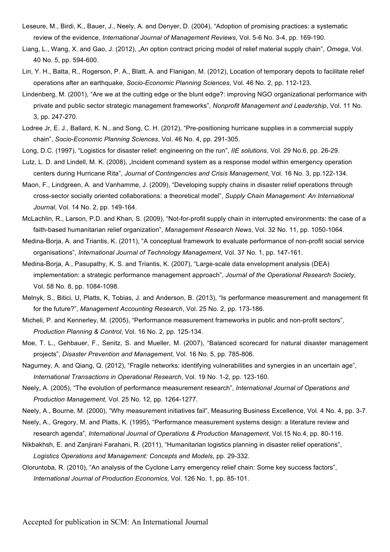- Leseure, M., Birdi, K., Bauer, J., Neely, A. and Denyer, D. (2004), "Adoption of promising practices: a systematic review of the evidence, *International Journal of Management Reviews*, Vol. 5-6 No. 3-4, pp. 169-190.
- Liang, L., Wang, X. and Gao, J. (2012), "An option contract pricing model of relief material supply chain", *Omega*, Vol. 40 No. 5, pp. 594-600.
- Lin, Y. H., Batta, R., Rogerson, P. A., Blatt, A. and Flanigan, M. (2012), Location of temporary depots to facilitate relief operations after an earthquake, *Socio-Economic Planning Sciences*, Vol. 46 No. 2, pp. 112-123.
- Lindenberg, M. (2001), "Are we at the cutting edge or the blunt edge?: improving NGO organizational performance with private and public sector strategic management frameworks", *Nonprofit Management and Leadership*, Vol. 11 No. 3, pp. 247-270.
- Lodree Jr, E. J., Ballard, K. N., and Song, C. H. (2012), "Pre-positioning hurricane supplies in a commercial supply chain", *Socio-Economic Planning Sciences*, Vol. 46 No. 4, pp. 291-305.
- Long, D.C. (1997), "Logistics for disaster relief: engineering on the run", *IIE solutions*, Vol. 29 No.6, pp. 26-29.
- Lutz, L. D. and Lindell, M. K. (2008), "Incident command system as a response model within emergency operation centers during Hurricane Rita", *Journal of Contingencies and Crisis Management*, Vol. 16 No. 3, pp.122-134.
- Maon, F., Lindgreen, A. and Vanhamme, J. (2009), "Developing supply chains in disaster relief operations through cross-sector socially oriented collaborations: a theoretical model", *Supply Chain Management: An International Journal*, Vol. 14 No. 2, pp. 149-164.
- McLachlin, R., Larson, P.D. and Khan, S. (2009), "Not-for-profit supply chain in interrupted environments: the case of a faith-based humanitarian relief organization", *Management Research News*, Vol. 32 No. 11, pp. 1050-1064.
- Medina-Borja, A. and Triantis, K. (2011), "A conceptual framework to evaluate performance of non-profit social service organisations", *International Journal of Technology Management*, Vol. 37 No. 1, pp. 147-161.
- Medina-Borja, A., Pasupathy, K. S. and Triantis, K. (2007), "Large-scale data envelopment analysis (DEA) implementation: a strategic performance management approach", *Journal of the Operational Research Society*, Vol. 58 No. 8, pp. 1084-1098.
- Melnyk, S., Bitici, U, Platts, K, Tobias, J. and Anderson, B. (2013), "Is performance measurement and management fit for the future?", *Management Accounting Research*, Vol. 25 No. 2, pp. 173-186.
- Micheli, P. and Kennerley, M. (2005), "Performance measurement frameworks in public and non-profit sectors", *Production Planning & Control*, Vol. 16 No. 2, pp. 125-134.
- Moe, T. L., Gehbauer, F., Senitz, S. and Mueller, M. (2007), "Balanced scorecard for natural disaster management projects", *Disaster Prevention and Management*, Vol. 16 No. 5, pp. 785-806.
- Nagurney, A. and Qiang, Q. (2012), "Fragile networks: identifying vulnerabilities and synergies in an uncertain age", *International Transactions in Operational Research*, Vol. 19 No. 1-2, pp. 123-160.
- Neely, A. (2005), "The evolution of performance measurement research", *International Journal of Operations and Production Management,* Vol. 25 No. 12, pp. 1264-1277.
- Neely, A., Bourne, M. (2000), "Why measurement initiatives fail", Measuring Business Excellence, Vol. 4 No. 4, pp. 3-7.
- Neely, A., Gregory, M. and Platts, K. (1995), "Performance measurement systems design: a literature review and research agenda", *International Journal of Operations & Production Management*, Vol.15 No.4, pp. 80-116.
- Nikbakhsh, E. and Zanjirani Farahani, R. (2011), "Humanitarian logistics planning in disaster relief operations", *Logistics Operations and Management: Concepts and Models*, pp. 29-332.
- Oloruntoba, R. (2010), "An analysis of the Cyclone Larry emergency relief chain: Some key success factors", *International Journal of Production Economics*, Vol. 126 No. 1, pp. 85-101.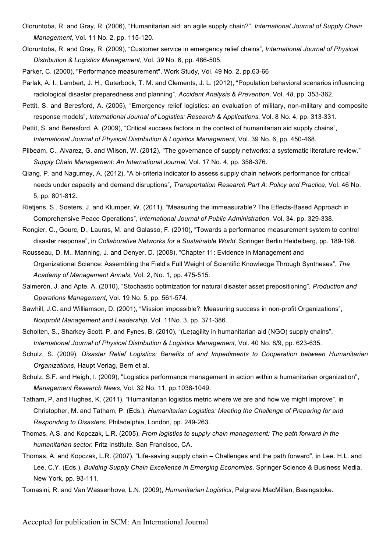- Oloruntoba, R. and Gray, R. (2006), "Humanitarian aid: an agile supply chain?", *International Journal of Supply Chain Management*, Vol. 11 No. 2, pp. 115-120.
- Oloruntoba, R. and Gray, R. (2009), "Customer service in emergency relief chains", *International Journal of Physical Distribution & Logistics Management*, Vol. *39* No. 6, pp. 486-505.
- Parker, C. (2000), "Performance measurement", Work Study, Vol. 49 No. 2, pp.63-66
- Parlak, A. I., Lambert, J. H., Guterbock, T. M. and Clements, J. L. (2012), "Population behavioral scenarios influencing radiological disaster preparedness and planning", *Accident Analysis & Prevention*, Vol. *48*, pp. 353-362.
- Pettit, S. and Beresford, A. (2005), "Emergency relief logistics: an evaluation of military, non-military and composite response models", *International Journal of Logistics: Research & Applications*, Vol. 8 No. 4, pp. 313-331.
- Pettit, S. and Beresford, A. (2009), "Critical success factors in the context of humanitarian aid supply chains", *International Journal of Physical Distribution & Logistics Management,* Vol. 39 No. 6, pp. 450-468.
- Pilbeam, C., Alvarez, G. and Wilson, W. (2012), "The governance of supply networks: a systematic literature review." *Supply Chain Management: An International Journal,* Vol. 17 No. 4, pp. 358-376.
- Qiang, P. and Nagurney, A. (2012), "A bi-criteria indicator to assess supply chain network performance for critical needs under capacity and demand disruptions", *Transportation Research Part A: Policy and Practice*, Vol. 46 No. 5, pp. 801-812.
- Rietjens, S., Soeters, J. and Klumper, W. (2011), "Measuring the immeasurable? The Effects-Based Approach in Comprehensive Peace Operations", *International Journal of Public Administration*, Vol. 34, pp. 329-338.
- Rongier, C., Gourc, D., Lauras, M. and Galasso, F. (2010), "Towards a performance measurement system to control disaster response", in *Collaborative Networks for a Sustainable World*. Springer Berlin Heidelberg, pp. 189-196.
- Rousseau, D. M., Manning, J. and Denyer, D. (2008), "Chapter 11: Evidence in Management and Organizational Science: Assembling the Field's Full Weight of Scientific Knowledge Through Syntheses", *The Academy of Management Annals*, Vol. 2, No. 1, pp. 475-515.
- Salmerón, J. and Apte, A. (2010), "Stochastic optimization for natural disaster asset prepositioning", *Production and Operations Management*, Vol. 19 No. 5, pp. 561-574.
- Sawhill, J.C. and Williamson, D. (2001), "Mission impossible?: Measuring success in non-profit Organizations", *Nonprofit Management and Leadership*, Vol. 11No. 3, pp. 371-386.
- Scholten, S., Sharkey Scott, P. and Fynes, B. (2010), "(Le)agility in humanitarian aid (NGO) supply chains", *International Journal of Physical Distribution & Logistics Management,* Vol. 40 No. 8/9, pp. 623-635.
- Schulz, S. (2009), *Disaster Relief Logistics: Benefits of and Impediments to Cooperation between Humanitarian Organizations*, Haupt Verlag, Bern et al.
- Schulz, S.F. and Heigh, I. (2009), "Logistics performance management in action within a humanitarian organization", *Management Research News*, Vol. 32 No. 11, pp.1038-1049.
- Tatham, P. and Hughes, K. (2011), "Humanitarian logistics metric where we are and how we might improve", in Christopher, M. and Tatham, P. (Eds.), *Humanitarian Logistics: Meeting the Challenge of Preparing for and Responding to Disasters*, Philadelphia, London, pp. 249-263.
- Thomas, A.S. and Kopczak, L.R. (2005), *From logistics to supply chain management: The path forward in the humanitarian sector.* Fritz Institute*.* San Francisco, CA.
- Thomas, A. and Kopczak, L.R. (2007), "Life-saving supply chain Challenges and the path forward", in Lee. H.L. and Lee, C.Y. (Eds.), *Building Supply Chain Excellence in Emerging Economies*. Springer Science & Business Media. New York, pp. 93-111.
- Tomasini, R. and Van Wassenhove, L.N. (2009), *Humanitarian Logistics*, Palgrave MacMillan, Basingstoke.